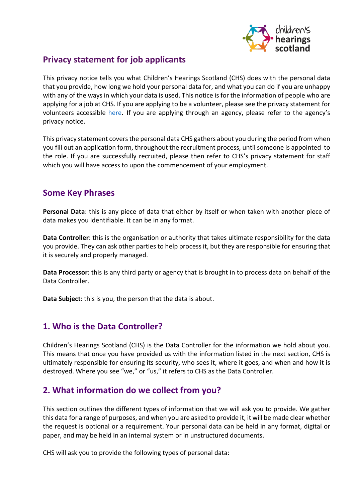

### **Privacy statement for job applicants**

This privacy notice tells you what Children's Hearings Scotland (CHS) does with the personal data that you provide, how long we hold your personal data for, and what you can do if you are unhappy with any of the ways in which your data is used. This notice is for the information of people who are applying for a job at CHS. If you are applying to be a volunteer, please see the privacy statement for volunteers accessible [here.](https://www.chscotland.gov.uk/media/sj5ppk0a/privacy-statement-for-volunteers-v4-0.pdf) If you are applying through an agency, please refer to the agency's privacy notice.

This privacy statement covers the personal data CHS gathers about you during the period from when you fill out an application form, throughout the recruitment process, until someone is appointed to the role. If you are successfully recruited, please then refer to CHS's privacy statement for staff which you will have access to upon the commencement of your employment.

### **Some Key Phrases**

**Personal Data**: this is any piece of data that either by itself or when taken with another piece of data makes you identifiable. It can be in any format.

**Data Controller**: this is the organisation or authority that takes ultimate responsibility for the data you provide. They can ask other parties to help process it, but they are responsible for ensuring that it is securely and properly managed.

**Data Processor**: this is any third party or agency that is brought in to process data on behalf of the Data Controller.

**Data Subject**: this is you, the person that the data is about.

## **1. Who is the Data Controller?**

Children's Hearings Scotland (CHS) is the Data Controller for the information we hold about you. This means that once you have provided us with the information listed in the next section, CHS is ultimately responsible for ensuring its security, who sees it, where it goes, and when and how it is destroyed. Where you see "we," or "us," it refers to CHS as the Data Controller.

### **2. What information do we collect from you?**

This section outlines the different types of information that we will ask you to provide. We gather this data for a range of purposes, and when you are asked to provide it, it will be made clear whether the request is optional or a requirement. Your personal data can be held in any format, digital or paper, and may be held in an internal system or in unstructured documents.

CHS will ask you to provide the following types of personal data: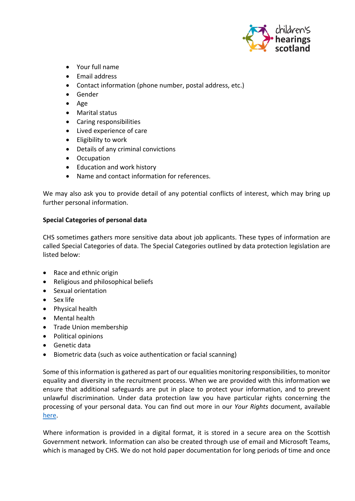

- Your full name
- Email address
- Contact information (phone number, postal address, etc.)
- Gender
- Age
- Marital status
- Caring responsibilities
- Lived experience of care
- Eligibility to work
- Details of any criminal convictions
- Occupation
- Education and work history
- Name and contact information for references.

We may also ask you to provide detail of any potential conflicts of interest, which may bring up further personal information.

#### **Special Categories of personal data**

CHS sometimes gathers more sensitive data about job applicants. These types of information are called Special Categories of data. The Special Categories outlined by data protection legislation are listed below:

- Race and ethnic origin
- Religious and philosophical beliefs
- Sexual orientation
- Sex life
- Physical health
- Mental health
- Trade Union membership
- Political opinions
- Genetic data
- Biometric data (such as voice authentication or facial scanning)

Some of this information is gathered as part of our equalities monitoring responsibilities, to monitor equality and diversity in the recruitment process. When we are provided with this information we ensure that additional safeguards are put in place to protect your information, and to prevent unlawful discrimination. Under data protection law you have particular rights concerning the processing of your personal data. You can find out more in our *Your Rights* document, available [here.](https://www.chscotland.gov.uk/media/4mnpgfyg/your-rights-v1-0.pdf)

Where information is provided in a digital format, it is stored in a secure area on the Scottish Government network. Information can also be created through use of email and Microsoft Teams, which is managed by CHS. We do not hold paper documentation for long periods of time and once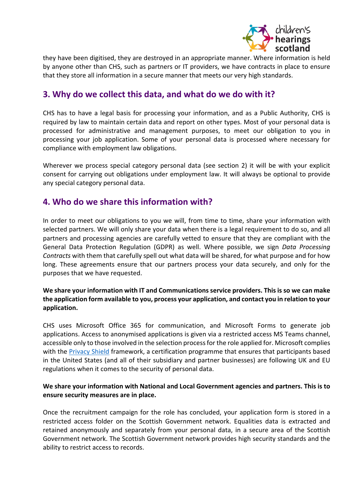

they have been digitised, they are destroyed in an appropriate manner. Where information is held by anyone other than CHS, such as partners or IT providers, we have contracts in place to ensure that they store all information in a secure manner that meets our very high standards.

## **3. Why do we collect this data, and what do we do with it?**

CHS has to have a legal basis for processing your information, and as a Public Authority, CHS is required by law to maintain certain data and report on other types. Most of your personal data is processed for administrative and management purposes, to meet our obligation to you in processing your job application. Some of your personal data is processed where necessary for compliance with employment law obligations.

Wherever we process special category personal data (see section 2) it will be with your explicit consent for carrying out obligations under employment law. It will always be optional to provide any special category personal data.

### **4. Who do we share this information with?**

In order to meet our obligations to you we will, from time to time, share your information with selected partners. We will only share your data when there is a legal requirement to do so, and all partners and processing agencies are carefully vetted to ensure that they are compliant with the General Data Protection Regulation (GDPR) as well. Where possible, we sign *Data Processing Contracts* with them that carefully spell out what data will be shared, for what purpose and for how long. These agreements ensure that our partners process your data securely, and only for the purposes that we have requested.

### **We share your information with IT and Communications service providers. This is so we can make the application form available to you, process your application, and contact you in relation to your application.**

CHS uses Microsoft Office 365 for communication, and Microsoft Forms to generate job applications. Access to anonymised applications is given via a restricted access MS Teams channel, accessible only to those involved in the selection process for the role applied for. Microsoft complies with the [Privacy Shield](https://www.privacyshield.gov/welcome) framework, a certification programme that ensures that participants based in the United States (and all of their subsidiary and partner businesses) are following UK and EU regulations when it comes to the security of personal data.

#### **We share your information with National and Local Government agencies and partners. This is to ensure security measures are in place.**

Once the recruitment campaign for the role has concluded, your application form is stored in a restricted access folder on the Scottish Government network. Equalities data is extracted and retained anonymously and separately from your personal data, in a secure area of the Scottish Government network. The Scottish Government network provides high security standards and the ability to restrict access to records.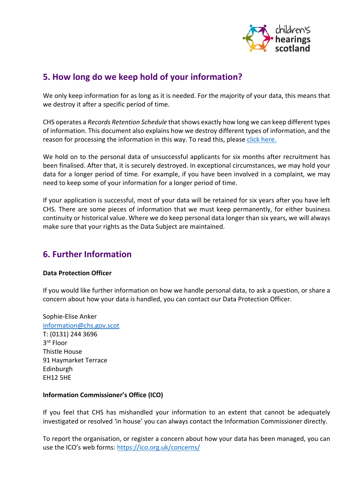

### **5. How long do we keep hold of your information?**

We only keep information for as long as it is needed. For the majority of your data, this means that we destroy it after a specific period of time.

CHS operates a *Records Retention Schedule* that shows exactly how long we can keep different types of information. This document also explains how we destroy different types of information, and the reason for processing the information in this way. To read this, please [click here.](https://www.chscotland.gov.uk/media/2xhfwf3q/chs-retention-and-disposal-schedule.pdf)

We hold on to the personal data of unsuccessful applicants for six months after recruitment has been finalised. After that, it is securely destroyed. In exceptional circumstances, we may hold your data for a longer period of time. For example, if you have been involved in a complaint, we may need to keep some of your information for a longer period of time.

If your application is successful, most of your data will be retained for six years after you have left CHS. There are some pieces of information that we must keep permanently, for either business continuity or historical value. Where we do keep personal data longer than six years, we will always make sure that your rights as the Data Subject are maintained.

# **6. Further Information**

#### **Data Protection Officer**

If you would like further information on how we handle personal data, to ask a question, or share a concern about how your data is handled, you can contact our Data Protection Officer.

Sophie-Elise Anker [information@chs.gov.scot](mailto:information@chs.gov.scot)  T: (0131) 244 3696 3rd Floor Thistle House 91 Haymarket Terrace Edinburgh EH12 5HE

#### **Information Commissioner's Office (ICO)**

If you feel that CHS has mishandled your information to an extent that cannot be adequately investigated or resolved 'in house' you can always contact the Information Commissioner directly.

To report the organisation, or register a concern about how your data has been managed, you can use the ICO's web forms:<https://ico.org.uk/concerns/>